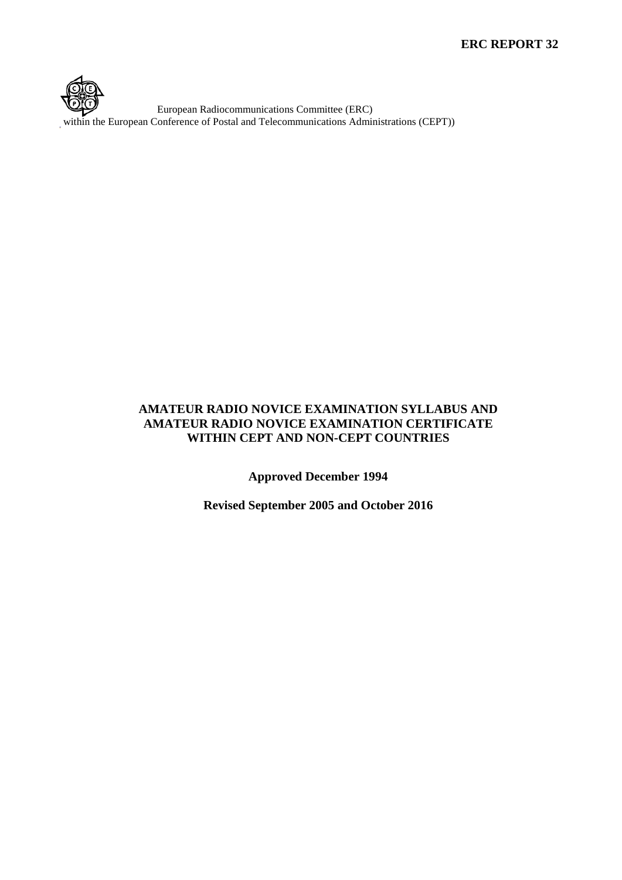

European Radiocommunications Committee (ERC) within the European Conference of Postal and Telecommunications Administrations (CEPT))

## **AMATEUR RADIO NOVICE EXAMINATION SYLLABUS AND AMATEUR RADIO NOVICE EXAMINATION CERTIFICATE WITHIN CEPT AND NON-CEPT COUNTRIES**

**Approved December 1994**

**Revised September 2005 and October 2016**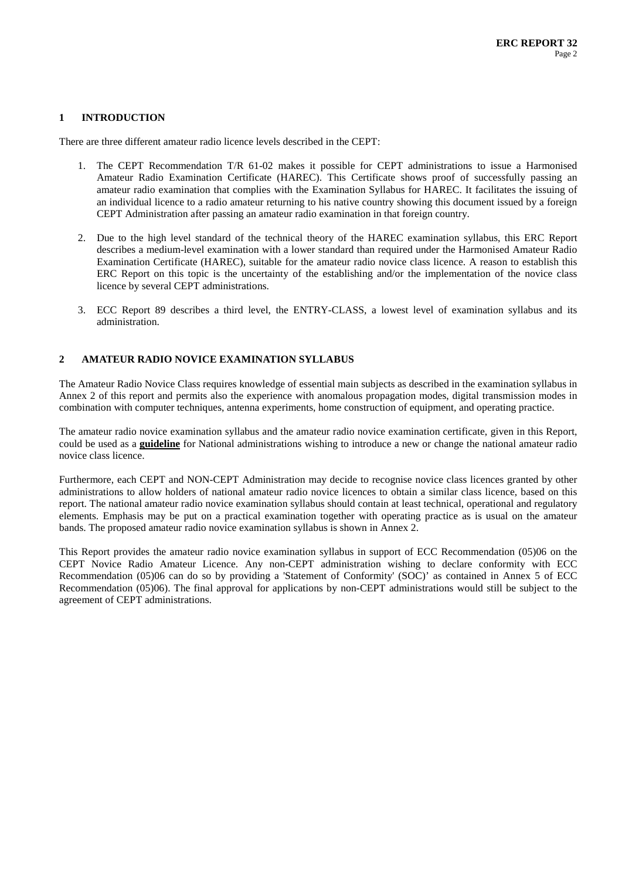#### **1 INTRODUCTION**

There are three different amateur radio licence levels described in the CEPT:

- 1. The CEPT Recommendation T/R 61-02 makes it possible for CEPT administrations to issue a Harmonised Amateur Radio Examination Certificate (HAREC). This Certificate shows proof of successfully passing an amateur radio examination that complies with the Examination Syllabus for HAREC. It facilitates the issuing of an individual licence to a radio amateur returning to his native country showing this document issued by a foreign CEPT Administration after passing an amateur radio examination in that foreign country.
- 2. Due to the high level standard of the technical theory of the HAREC examination syllabus, this ERC Report describes a medium-level examination with a lower standard than required under the Harmonised Amateur Radio Examination Certificate (HAREC), suitable for the amateur radio novice class licence. A reason to establish this ERC Report on this topic is the uncertainty of the establishing and/or the implementation of the novice class licence by several CEPT administrations.
- 3. ECC Report 89 describes a third level, the ENTRY-CLASS, a lowest level of examination syllabus and its administration.

#### **2 AMATEUR RADIO NOVICE EXAMINATION SYLLABUS**

The Amateur Radio Novice Class requires knowledge of essential main subjects as described in the examination syllabus in Annex 2 of this report and permits also the experience with anomalous propagation modes, digital transmission modes in combination with computer techniques, antenna experiments, home construction of equipment, and operating practice.

The amateur radio novice examination syllabus and the amateur radio novice examination certificate, given in this Report, could be used as a **guideline** for National administrations wishing to introduce a new or change the national amateur radio novice class licence.

Furthermore, each CEPT and NON-CEPT Administration may decide to recognise novice class licences granted by other administrations to allow holders of national amateur radio novice licences to obtain a similar class licence, based on this report. The national amateur radio novice examination syllabus should contain at least technical, operational and regulatory elements. Emphasis may be put on a practical examination together with operating practice as is usual on the amateur bands. The proposed amateur radio novice examination syllabus is shown in Annex 2.

This Report provides the amateur radio novice examination syllabus in support of ECC Recommendation (05)06 on the CEPT Novice Radio Amateur Licence. Any non-CEPT administration wishing to declare conformity with ECC Recommendation (05)06 can do so by providing a 'Statement of Conformity' (SOC)' as contained in Annex 5 of ECC Recommendation (05)06). The final approval for applications by non-CEPT administrations would still be subject to the agreement of CEPT administrations.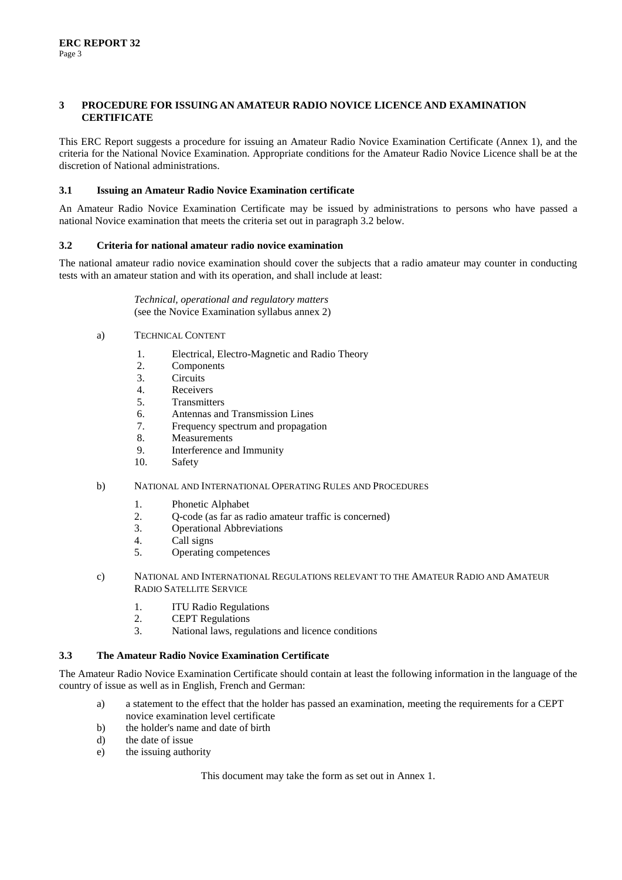#### **3 PROCEDURE FOR ISSUING AN AMATEUR RADIO NOVICE LICENCE AND EXAMINATION CERTIFICATE**

This ERC Report suggests a procedure for issuing an Amateur Radio Novice Examination Certificate (Annex 1), and the criteria for the National Novice Examination. Appropriate conditions for the Amateur Radio Novice Licence shall be at the discretion of National administrations.

#### **3.1 Issuing an Amateur Radio Novice Examination certificate**

An Amateur Radio Novice Examination Certificate may be issued by administrations to persons who have passed a national Novice examination that meets the criteria set out in paragraph 3.2 below.

#### **3.2 Criteria for national amateur radio novice examination**

The national amateur radio novice examination should cover the subjects that a radio amateur may counter in conducting tests with an amateur station and with its operation, and shall include at least:

> *Technical, operational and regulatory matters* (see the Novice Examination syllabus annex 2)

- a) TECHNICAL CONTENT
	- 1. Electrical, Electro-Magnetic and Radio Theory
	- 2. Components
	- 3. Circuits
	- 4. Receivers
	- 5. Transmitters
	- 6. Antennas and Transmission Lines
	- 7. Frequency spectrum and propagation
	- 8. Measurements
	- 9. Interference and Immunity
	- 10. Safety

#### b) NATIONAL AND INTERNATIONAL OPERATING RULES AND PROCEDURES

- 1. Phonetic Alphabet
- 2. Q-code (as far as radio amateur traffic is concerned)
- 3. Operational Abbreviations
- 4. Call signs
- 5. Operating competences
- c) NATIONAL AND INTERNATIONAL REGULATIONS RELEVANT TO THE AMATEUR RADIO AND AMATEUR RADIO SATELLITE SERVICE
	- 1. ITU Radio Regulations
	- 2. CEPT Regulations
	- 3. National laws, regulations and licence conditions

#### **3.3 The Amateur Radio Novice Examination Certificate**

The Amateur Radio Novice Examination Certificate should contain at least the following information in the language of the country of issue as well as in English, French and German:

- a) a statement to the effect that the holder has passed an examination, meeting the requirements for a CEPT novice examination level certificate
- b) the holder's name and date of birth
- d) the date of issue
- e) the issuing authority

This document may take the form as set out in Annex 1.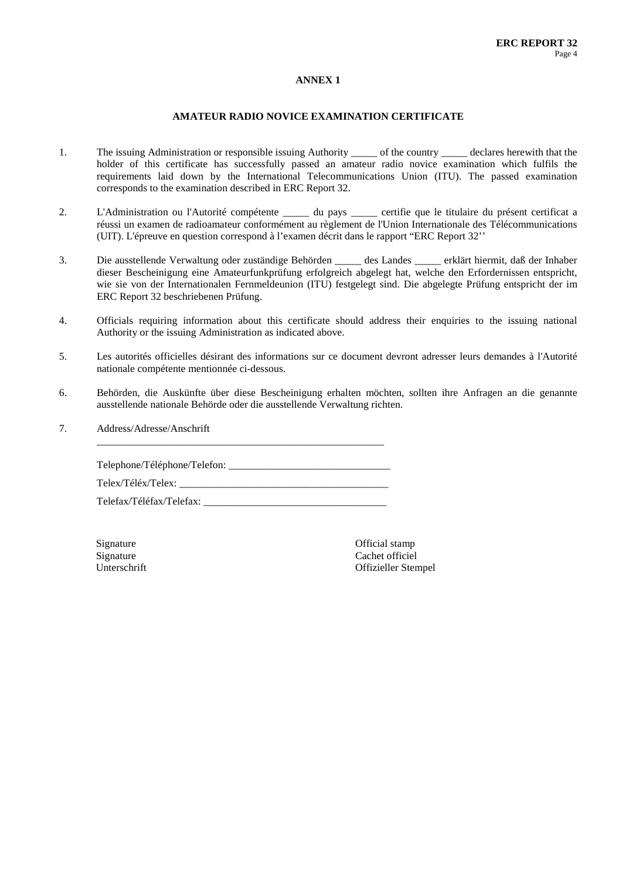#### **ANNEX 1**

#### **AMATEUR RADIO NOVICE EXAMINATION CERTIFICATE**

- 1. The issuing Administration or responsible issuing Authority \_\_\_\_\_ of the country \_\_\_\_\_ declares herewith that the holder of this certificate has successfully passed an amateur radio novice examination which fulfils the requirements laid down by the International Telecommunications Union (ITU). The passed examination corresponds to the examination described in ERC Report 32.
- 2. L'Administration ou l'Autorité compétente du pays certifie que le titulaire du présent certificat a réussi un examen de radioamateur conformément au règlement de l'Union Internationale des Télécommunications (UIT). L'épreuve en question correspond à l'examen décrit dans le rapport "ERC Report 32''
- 3. Die ausstellende Verwaltung oder zuständige Behörden \_\_\_\_\_ des Landes \_\_\_\_\_ erklärt hiermit, daß der Inhaber dieser Bescheinigung eine Amateurfunkprüfung erfolgreich abgelegt hat, welche den Erfordernissen entspricht, wie sie von der Internationalen Fernmeldeunion (ITU) festgelegt sind. Die abgelegte Prüfung entspricht der im ERC Report 32 beschriebenen Prüfung.
- 4. Officials requiring information about this certificate should address their enquiries to the issuing national Authority or the issuing Administration as indicated above.
- 5. Les autorités officielles désirant des informations sur ce document devront adresser leurs demandes à l'Autorité nationale compétente mentionnée ci-dessous.
- 6. Behörden, die Auskünfte über diese Bescheinigung erhalten möchten, sollten ihre Anfragen an die genannte ausstellende nationale Behörde oder die ausstellende Verwaltung richten.
- 7. Address/Adresse/Anschrift

Telephone/Téléphone/Telefon: \_\_\_\_\_\_\_\_\_\_\_\_\_\_\_\_\_\_\_\_\_\_\_\_\_\_\_\_\_\_\_ Telex/Téléx/Telex: Telefax/Téléfax/Telefax: \_\_\_\_\_\_\_\_\_\_\_\_\_\_\_\_\_\_\_\_\_\_\_\_\_\_\_\_\_\_\_\_\_\_\_

\_\_\_\_\_\_\_\_\_\_\_\_\_\_\_\_\_\_\_\_\_\_\_\_\_\_\_\_\_\_\_\_\_\_\_\_\_\_\_\_\_\_\_\_\_\_\_\_\_\_\_\_\_\_\_

Signature Official stamp<br>
Signature Cachet official stamp<br>
Cachet official Signature Cachet officiel<br>
Unterschrift Context of Cachet officiel<br>
Offizieller Sten Offizieller Stempel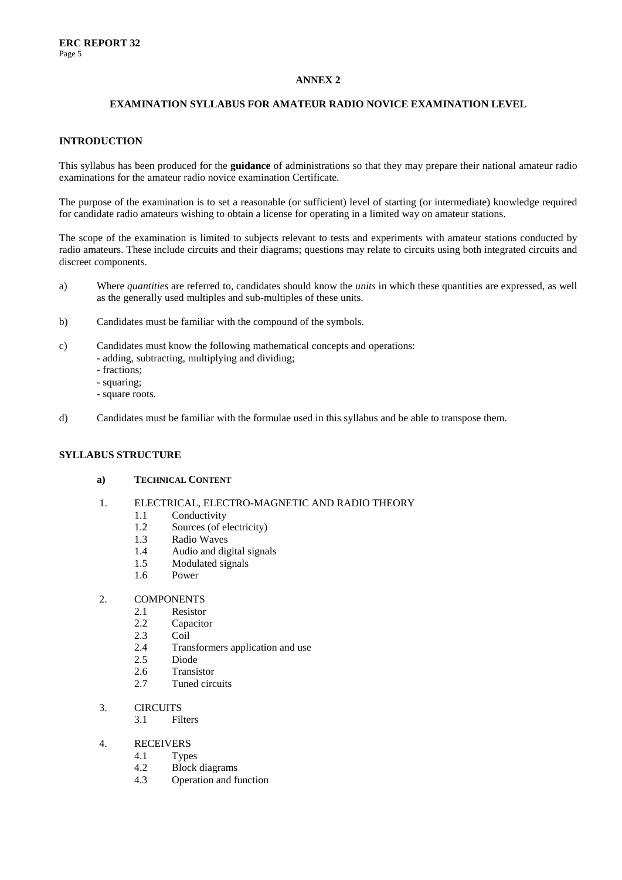## **ANNEX 2**

### **EXAMINATION SYLLABUS FOR AMATEUR RADIO NOVICE EXAMINATION LEVEL**

#### **INTRODUCTION**

This syllabus has been produced for the **guidance** of administrations so that they may prepare their national amateur radio examinations for the amateur radio novice examination Certificate.

The purpose of the examination is to set a reasonable (or sufficient) level of starting (or intermediate) knowledge required for candidate radio amateurs wishing to obtain a license for operating in a limited way on amateur stations.

The scope of the examination is limited to subjects relevant to tests and experiments with amateur stations conducted by radio amateurs. These include circuits and their diagrams; questions may relate to circuits using both integrated circuits and discreet components.

- a) Where *quantities* are referred to, candidates should know the *units* in which these quantities are expressed, as well as the generally used multiples and sub-multiples of these units.
- b) Candidates must be familiar with the compound of the symbols.
- c) Candidates must know the following mathematical concepts and operations: - adding, subtracting, multiplying and dividing;
	- fractions;
	- squaring;
	- square roots.
- d) Candidates must be familiar with the formulae used in this syllabus and be able to transpose them.

#### **SYLLABUS STRUCTURE**

#### **a) TECHNICAL CONTENT**

- 1. ELECTRICAL, ELECTRO-MAGNETIC AND RADIO THEORY
	- 1.1 Conductivity<br>1.2 Sources (of e
	- Sources (of electricity)
	- 1.3 Radio Waves
	- 1.4 Audio and digital signals
	- 1.5 Modulated signals
	- 1.6 Power

## 2. COMPONENTS<br>2.1 Resistor

- 2.1 Resistor<br>2.2 Capacito
- Capacitor
- 2.3 Coil
- 2.4 Transformers application and use
- 2.5 Diode
- 2.6 Transistor
- 2.7 Tuned circuits
- 3. CIRCUITS
	- 3.1 Filters
- 4. RECEIVERS
	- 4.1 Types<br>4.2 Block
		- Block diagrams
	- 4.3 Operation and function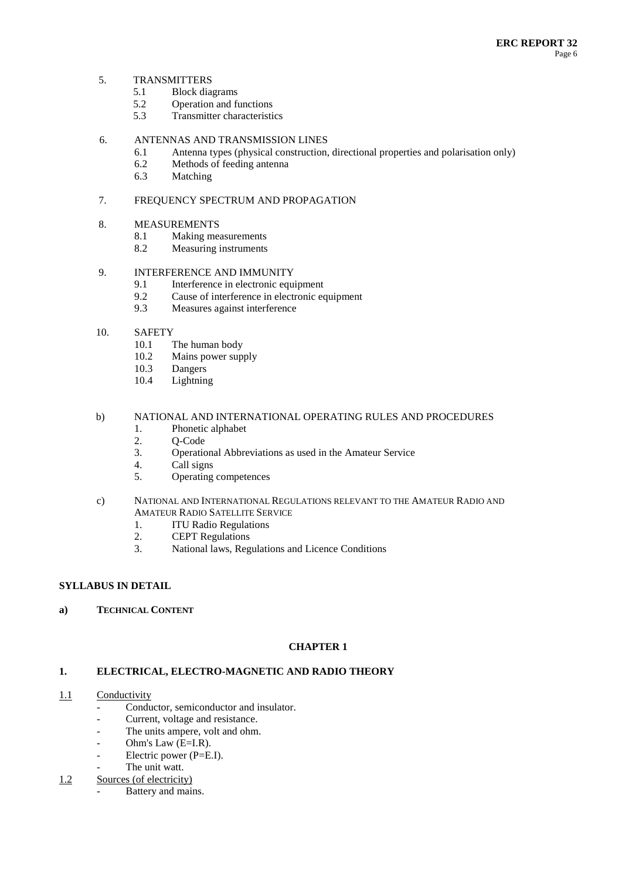#### 5. TRANSMITTERS

- 5.1 Block diagrams<br>5.2 Operation and fu
- Operation and functions
- 5.3 Transmitter characteristics

### 6. ANTENNAS AND TRANSMISSION LINES

- 6.1 Antenna types (physical construction, directional properties and polarisation only)
- 6.2 Methods of feeding antenna<br>6.3 Matching
- Matching

## 7. FREQUENCY SPECTRUM AND PROPAGATION

## 8. MEASUREMENTS

- 8.1 Making measurements<br>8.2 Measuring instruments
- Measuring instruments

## 9. INTERFERENCE AND IMMUNITY

- 9.1 Interference in electronic equipment
- 9.2 Cause of interference in electronic equipment
- 9.3 Measures against interference
- 10. SAFETY
	- 10.1 The human body<br>10.2 Mains nower sun
	- Mains power supply
	- 10.3 Dangers<br>10.4 Lightnin
	- Lightning

### b) NATIONAL AND INTERNATIONAL OPERATING RULES AND PROCEDURES

- 1. Phonetic alphabet
- 2. Q-Code<br>3. Operation
- 3. Operational Abbreviations as used in the Amateur Service
- Call signs
- 5. Operating competences
- c) NATIONAL AND INTERNATIONAL REGULATIONS RELEVANT TO THE AMATEUR RADIO AND AMATEUR RADIO SATELLITE SERVICE
	- 1. ITU Radio Regulations<br>2. CEPT Regulations
	- **CEPT Regulations**
	- 3. National laws, Regulations and Licence Conditions

#### **SYLLABUS IN DETAIL**

**a) TECHNICAL CONTENT**

## **CHAPTER 1**

## **1. ELECTRICAL, ELECTRO-MAGNETIC AND RADIO THEORY**

- 1.1 Conductivity
	- Conductor, semiconductor and insulator.
	- Current, voltage and resistance.
	- The units ampere, volt and ohm.
	- Ohm's Law  $(E=I.R)$ .
	- Electric power (P=E.I).
	- The unit watt.
- 1.2 Sources (of electricity)
	- Battery and mains.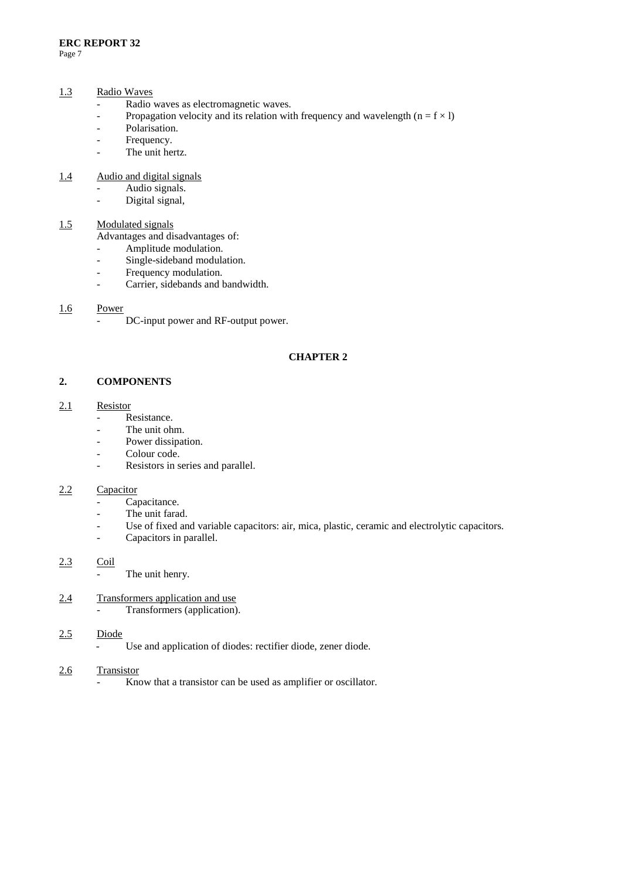#### 1.3 Radio Waves

- Radio waves as electromagnetic waves.
- Propagation velocity and its relation with frequency and wavelength  $(n = f \times l)$
- Polarisation.
- Frequency.
- The unit hertz.

#### 1.4 Audio and digital signals

- Audio signals.
- Digital signal,

## 1.5 Modulated signals

Advantages and disadvantages of:

- Amplitude modulation.
- Single-sideband modulation.
- Frequency modulation.
- Carrier, sidebands and bandwidth.

### 1.6 Power

DC-input power and RF-output power.

## **CHAPTER 2**

## **2. COMPONENTS**

## 2.1 Resistor

- Resistance.
- The unit ohm.
- Power dissipation.
- Colour code.
- Resistors in series and parallel.

## 2.2 Capacitor

- Capacitance.
- The unit farad.
- Use of fixed and variable capacitors: air, mica, plastic, ceramic and electrolytic capacitors.
- Capacitors in parallel.

## 2.3 Coil

The unit henry.

## 2.4 Transformers application and use

- Transformers (application).

## 2.5 Diode

- Use and application of diodes: rectifier diode, zener diode.

## 2.6 Transistor

Know that a transistor can be used as amplifier or oscillator.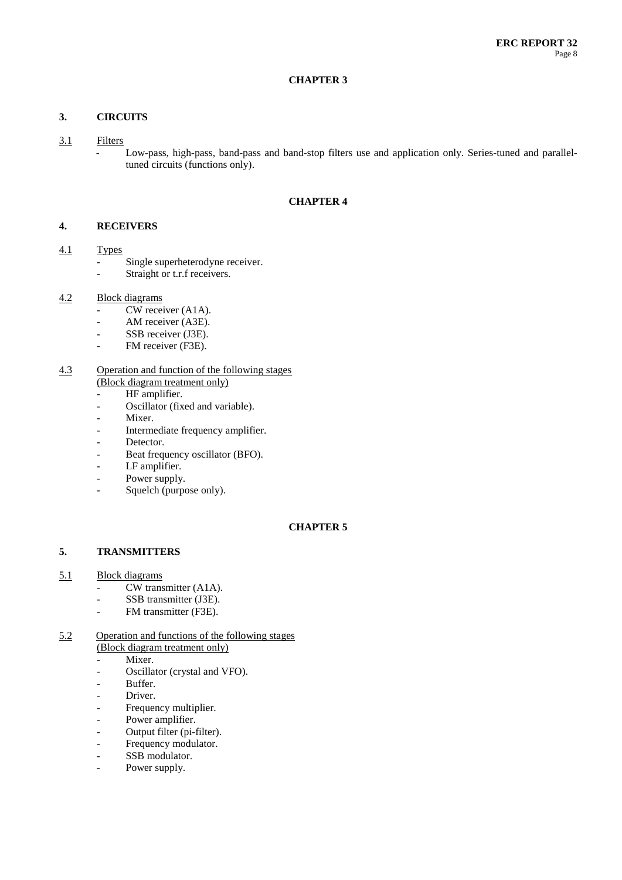#### **CHAPTER 3**

## **3. CIRCUITS**

- 3.1 Filters
	- Low-pass, high-pass, band-pass and band-stop filters use and application only. Series-tuned and paralleltuned circuits (functions only).

#### **CHAPTER 4**

### **4. RECEIVERS**

## 4.1 Types

- Single superheterodyne receiver.
- Straight or t.r.f receivers.

## 4.2 Block diagrams

- CW receiver (A1A).
- AM receiver (A3E).
- SSB receiver (J3E).
- FM receiver (F3E).

#### 4.3 Operation and function of the following stages (Block diagram treatment only)

- HF amplifier.
- Oscillator (fixed and variable).
- Mixer.
- Intermediate frequency amplifier.
- Detector.
- Beat frequency oscillator (BFO).
- LF amplifier.
- Power supply.
- Squelch (purpose only).

#### **CHAPTER 5**

## **5. TRANSMITTERS**

- 5.1 Block diagrams
	- CW transmitter (A1A).
	- SSB transmitter (J3E).
	- FM transmitter (F3E).

#### 5.2 Operation and functions of the following stages (Block diagram treatment only)

- Mixer.
- Oscillator (crystal and VFO).
- Buffer.
- Driver.
- Frequency multiplier.
- Power amplifier.
- Output filter (pi-filter).
- Frequency modulator.
- SSB modulator.
- Power supply.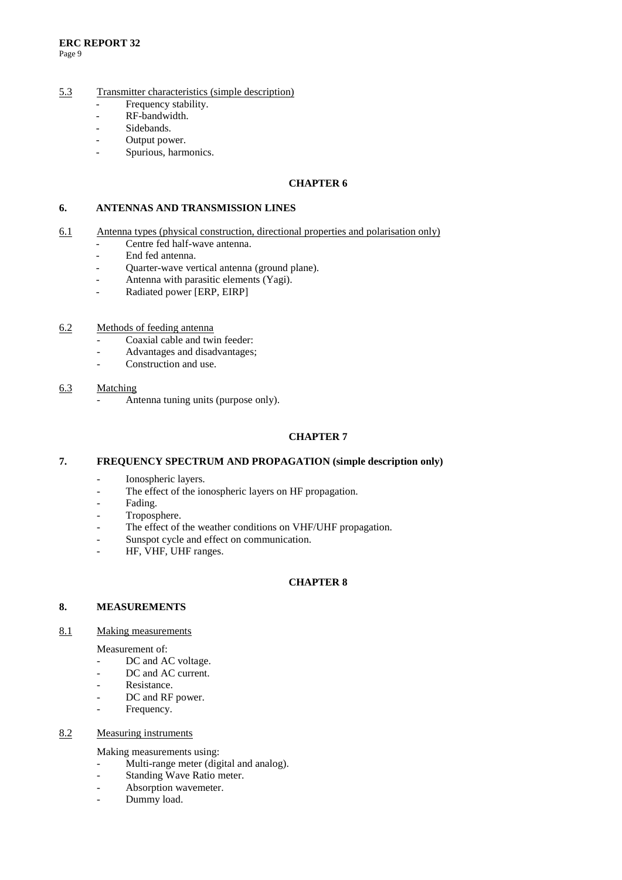#### 5.3 Transmitter characteristics (simple description)

- Frequency stability.
- RF-bandwidth.
- Sidebands.
- Output power.
- Spurious, harmonics.

#### **CHAPTER 6**

#### **6. ANTENNAS AND TRANSMISSION LINES**

- 6.1 Antenna types (physical construction, directional properties and polarisation only)
	- Centre fed half-wave antenna.
	- End fed antenna.
	- Quarter-wave vertical antenna (ground plane).
	- Antenna with parasitic elements (Yagi).
	- Radiated power [ERP, EIRP]
- 6.2 Methods of feeding antenna
	- Coaxial cable and twin feeder:
	- Advantages and disadvantages;
	- Construction and use.

## 6.3 Matching

Antenna tuning units (purpose only).

#### **CHAPTER 7**

## **7. FREQUENCY SPECTRUM AND PROPAGATION (simple description only)**

- Ionospheric layers.
- The effect of the ionospheric layers on HF propagation.
- Fading.
- Troposphere.
- The effect of the weather conditions on VHF/UHF propagation.
- Sunspot cycle and effect on communication.
- HF, VHF, UHF ranges.

#### **CHAPTER 8**

#### **8. MEASUREMENTS**

#### 8.1 Making measurements

Measurement of:

- DC and AC voltage.
- DC and AC current.
- Resistance.
- DC and RF power.
- Frequency.

#### 8.2 Measuring instruments

Making measurements using:

- Multi-range meter (digital and analog).
- Standing Wave Ratio meter.
- Absorption wavemeter.
- Dummy load.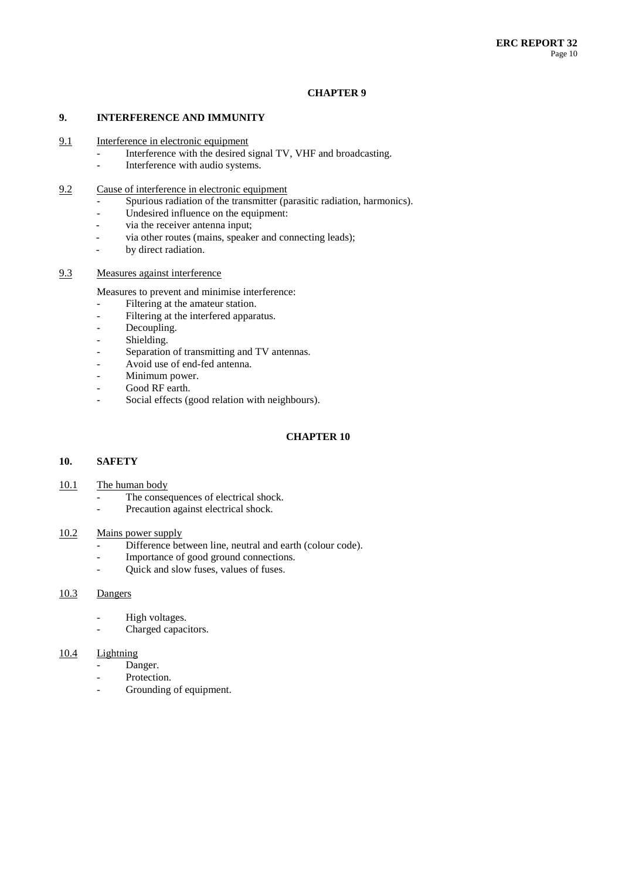#### **CHAPTER 9**

#### **9. INTERFERENCE AND IMMUNITY**

- 9.1 Interference in electronic equipment
	- Interference with the desired signal TV, VHF and broadcasting.<br>Interference with audio systems
	- Interference with audio systems.
- 9.2 Cause of interference in electronic equipment
	- Spurious radiation of the transmitter (parasitic radiation, harmonics).
	- Undesired influence on the equipment:
	- via the receiver antenna input;
	- via other routes (mains, speaker and connecting leads);
	- by direct radiation.

#### 9.3 Measures against interference

Measures to prevent and minimise interference:

- Filtering at the amateur station.
- Filtering at the interfered apparatus.
- Decoupling.
- Shielding.
- Separation of transmitting and TV antennas.
- Avoid use of end-fed antenna.
- Minimum power.
- Good RF earth.
- Social effects (good relation with neighbours).

#### **CHAPTER 10**

#### **10. SAFETY**

#### 10.1 The human body

- The consequences of electrical shock.
- Precaution against electrical shock.

#### 10.2 Mains power supply

- Difference between line, neutral and earth (colour code).
- Importance of good ground connections.
- Quick and slow fuses, values of fuses.

## 10.3 Dangers

- High voltages.
- Charged capacitors.

## 10.4 Lightning

- Danger.
- Protection.
- Grounding of equipment.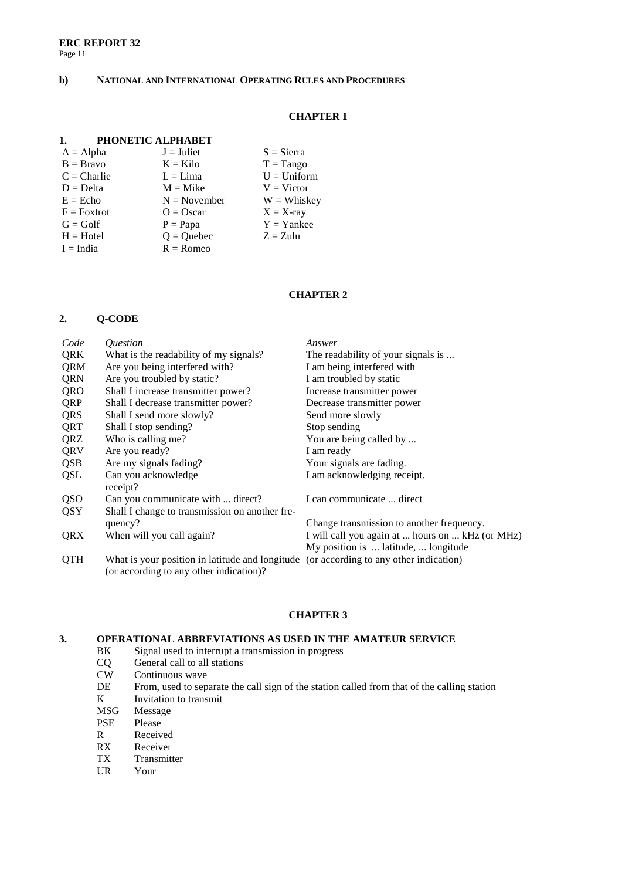#### **b) NATIONAL AND INTERNATIONAL OPERATING RULES AND PROCEDURES**

#### **CHAPTER 1**

#### **1. PHONETIC ALPHABET**

| $J =$ Juliet   | $S = Sierra$  |
|----------------|---------------|
| $K =$ Kilo     | $T = Tango$   |
| $L = Lima$     | $U = Uniform$ |
| $M = Mike$     | $V = Victor$  |
| $N = November$ | $W = Whiskev$ |
| $Q = Oscar$    | $X = X-ray$   |
| $P = Papa$     | $Y =$ Yankee  |
| $Q =$ Quebec   | $Z = Z$ ulu   |
| $R =$ Romeo    |               |
|                |               |

#### **CHAPTER 2**

#### **2. Q-CODE**

| Code       | <i><u><b>Ouestion</b></u></i>                                                          | Answer                                           |
|------------|----------------------------------------------------------------------------------------|--------------------------------------------------|
| QRK        | What is the readability of my signals?                                                 | The readability of your signals is               |
| QRM        | Are you being interfered with?                                                         | I am being interfered with                       |
| QRN        | Are you troubled by static?                                                            | I am troubled by static                          |
| QRO        | Shall I increase transmitter power?                                                    | Increase transmitter power                       |
| QRP        | Shall I decrease transmitter power?                                                    | Decrease transmitter power                       |
| QRS        | Shall I send more slowly?                                                              | Send more slowly                                 |
| QRT        | Shall I stop sending?                                                                  | Stop sending                                     |
| QRZ        | Who is calling me?                                                                     | You are being called by                          |
| QRV        | Are you ready?                                                                         | I am ready                                       |
| QSB        | Are my signals fading?                                                                 | Your signals are fading.                         |
| QSL        | Can you acknowledge                                                                    | I am acknowledging receipt.                      |
|            | receipt?                                                                               |                                                  |
| QSO        | Can you communicate with  direct?                                                      | I can communicate  direct                        |
| QSY        | Shall I change to transmission on another fre-                                         |                                                  |
|            | quency?                                                                                | Change transmission to another frequency.        |
| QRX        | When will you call again?                                                              | I will call you again at  hours on  kHz (or MHz) |
|            |                                                                                        | My position is  latitude,  longitude             |
| <b>QTH</b> | What is your position in latitude and longitude (or according to any other indication) |                                                  |
|            |                                                                                        |                                                  |

## **CHAPTER 3**

# **3. OPERATIONAL ABBREVIATIONS AS USED IN THE AMATEUR SERVICE**<br>BK Signal used to interrupt a transmission in progress

- BK Signal used to interrupt a transmission in progress<br>CQ General call to all stations
- CQ General call to all stations<br>CW Continuous wave

(or according to any other indication)?

- CW Continuous wave<br>DE From, used to sep
- DE From, used to separate the call sign of the station called from that of the calling station K Invitation to transmit Invitation to transmit
- MSG Message
- PSE Please<br>R Receiv
- Received
- RX Receiver
- TX Transmitter<br>UR Your
- Your